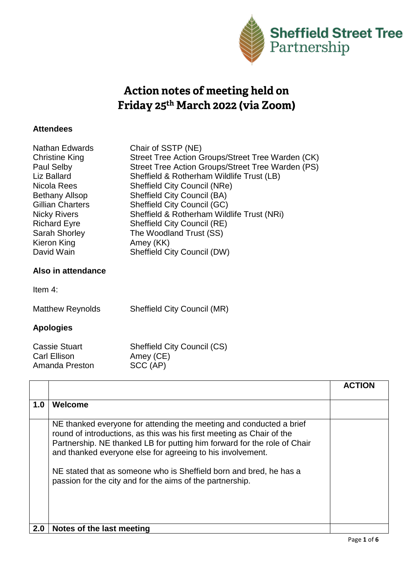

## Action notes of meeting held on Friday 25th March 2022 (via Zoom)

## **Attendees**

| <b>Nathan Edwards</b>   | Chair of SSTP (NE)                                |
|-------------------------|---------------------------------------------------|
| <b>Christine King</b>   | Street Tree Action Groups/Street Tree Warden (CK) |
| Paul Selby              | Street Tree Action Groups/Street Tree Warden (PS) |
| Liz Ballard             | Sheffield & Rotherham Wildlife Trust (LB)         |
| Nicola Rees             | <b>Sheffield City Council (NRe)</b>               |
| <b>Bethany Allsop</b>   | <b>Sheffield City Council (BA)</b>                |
| <b>Gillian Charters</b> | Sheffield City Council (GC)                       |
| <b>Nicky Rivers</b>     | Sheffield & Rotherham Wildlife Trust (NRi)        |
| <b>Richard Eyre</b>     | Sheffield City Council (RE)                       |
| Sarah Shorley           | The Woodland Trust (SS)                           |
| Kieron King             | Amey (KK)                                         |
| David Wain              | <b>Sheffield City Council (DW)</b>                |
|                         |                                                   |
| Also in attendance      |                                                   |
| Item $4$ :              |                                                   |
|                         |                                                   |

Matthew Reynolds Sheffield City Council (MR)

## **Apologies**

| <b>Cassie Stuart</b> | <b>Sheffield City Council (CS)</b> |
|----------------------|------------------------------------|
| Carl Ellison         | Amey (CE)                          |
| Amanda Preston       | SCC (AP)                           |

|     |                                                                                                                                                                                                                                                                                                                                                                                                                           | <b>ACTION</b> |
|-----|---------------------------------------------------------------------------------------------------------------------------------------------------------------------------------------------------------------------------------------------------------------------------------------------------------------------------------------------------------------------------------------------------------------------------|---------------|
| 1.0 | <b>Welcome</b>                                                                                                                                                                                                                                                                                                                                                                                                            |               |
|     | NE thanked everyone for attending the meeting and conducted a brief<br>round of introductions, as this was his first meeting as Chair of the<br>Partnership. NE thanked LB for putting him forward for the role of Chair<br>and thanked everyone else for agreeing to his involvement.<br>NE stated that as someone who is Sheffield born and bred, he has a<br>passion for the city and for the aims of the partnership. |               |
| 2.0 | Notes of the last meeting                                                                                                                                                                                                                                                                                                                                                                                                 |               |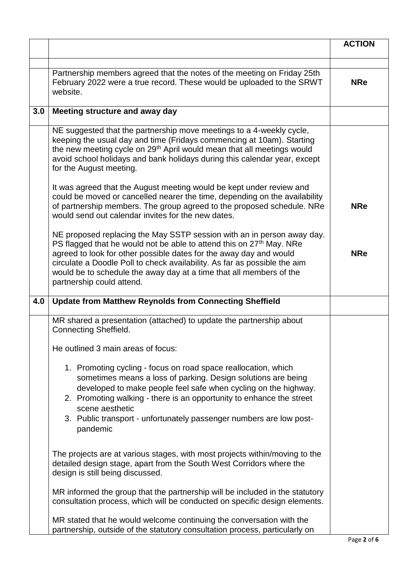|     |                                                                                                                                                                                                                                                                                                                                                                                                                   | <b>ACTION</b> |
|-----|-------------------------------------------------------------------------------------------------------------------------------------------------------------------------------------------------------------------------------------------------------------------------------------------------------------------------------------------------------------------------------------------------------------------|---------------|
|     |                                                                                                                                                                                                                                                                                                                                                                                                                   |               |
|     | Partnership members agreed that the notes of the meeting on Friday 25th<br>February 2022 were a true record. These would be uploaded to the SRWT<br>website.                                                                                                                                                                                                                                                      | <b>NRe</b>    |
| 3.0 | Meeting structure and away day                                                                                                                                                                                                                                                                                                                                                                                    |               |
|     | NE suggested that the partnership move meetings to a 4-weekly cycle,<br>keeping the usual day and time (Fridays commencing at 10am). Starting<br>the new meeting cycle on 29 <sup>th</sup> April would mean that all meetings would<br>avoid school holidays and bank holidays during this calendar year, except<br>for the August meeting.                                                                       |               |
|     | It was agreed that the August meeting would be kept under review and<br>could be moved or cancelled nearer the time, depending on the availability<br>of partnership members. The group agreed to the proposed schedule. NRe<br>would send out calendar invites for the new dates.                                                                                                                                | <b>NRe</b>    |
|     | NE proposed replacing the May SSTP session with an in person away day.<br>PS flagged that he would not be able to attend this on 27 <sup>th</sup> May. NRe<br>agreed to look for other possible dates for the away day and would<br>circulate a Doodle Poll to check availability. As far as possible the aim<br>would be to schedule the away day at a time that all members of the<br>partnership could attend. | <b>NRe</b>    |
| 4.0 | <b>Update from Matthew Reynolds from Connecting Sheffield</b>                                                                                                                                                                                                                                                                                                                                                     |               |
|     | MR shared a presentation (attached) to update the partnership about<br><b>Connecting Sheffield.</b>                                                                                                                                                                                                                                                                                                               |               |
|     | He outlined 3 main areas of focus:                                                                                                                                                                                                                                                                                                                                                                                |               |
|     | 1. Promoting cycling - focus on road space reallocation, which<br>sometimes means a loss of parking. Design solutions are being<br>developed to make people feel safe when cycling on the highway.<br>2. Promoting walking - there is an opportunity to enhance the street<br>scene aesthetic<br>3. Public transport - unfortunately passenger numbers are low post-<br>pandemic                                  |               |
|     | The projects are at various stages, with most projects within/moving to the<br>detailed design stage, apart from the South West Corridors where the<br>design is still being discussed.                                                                                                                                                                                                                           |               |
|     | MR informed the group that the partnership will be included in the statutory<br>consultation process, which will be conducted on specific design elements.                                                                                                                                                                                                                                                        |               |
|     | MR stated that he would welcome continuing the conversation with the<br>partnership, outside of the statutory consultation process, particularly on                                                                                                                                                                                                                                                               |               |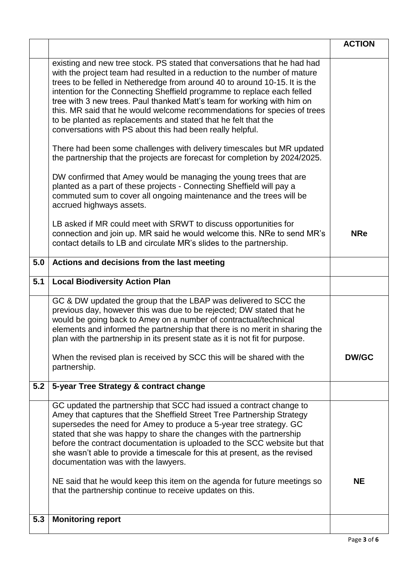|     |                                                                                                                                                                                                                                                                                                                                                                                                                                                                                                                                                                                                       | <b>ACTION</b> |
|-----|-------------------------------------------------------------------------------------------------------------------------------------------------------------------------------------------------------------------------------------------------------------------------------------------------------------------------------------------------------------------------------------------------------------------------------------------------------------------------------------------------------------------------------------------------------------------------------------------------------|---------------|
|     | existing and new tree stock. PS stated that conversations that he had had<br>with the project team had resulted in a reduction to the number of mature<br>trees to be felled in Netheredge from around 40 to around 10-15. It is the<br>intention for the Connecting Sheffield programme to replace each felled<br>tree with 3 new trees. Paul thanked Matt's team for working with him on<br>this. MR said that he would welcome recommendations for species of trees<br>to be planted as replacements and stated that he felt that the<br>conversations with PS about this had been really helpful. |               |
|     | There had been some challenges with delivery timescales but MR updated<br>the partnership that the projects are forecast for completion by 2024/2025.                                                                                                                                                                                                                                                                                                                                                                                                                                                 |               |
|     | DW confirmed that Amey would be managing the young trees that are<br>planted as a part of these projects - Connecting Sheffield will pay a<br>commuted sum to cover all ongoing maintenance and the trees will be<br>accrued highways assets.                                                                                                                                                                                                                                                                                                                                                         |               |
|     | LB asked if MR could meet with SRWT to discuss opportunities for<br>connection and join up. MR said he would welcome this. NRe to send MR's<br>contact details to LB and circulate MR's slides to the partnership.                                                                                                                                                                                                                                                                                                                                                                                    | <b>NRe</b>    |
| 5.0 | Actions and decisions from the last meeting                                                                                                                                                                                                                                                                                                                                                                                                                                                                                                                                                           |               |
| 5.1 | <b>Local Biodiversity Action Plan</b>                                                                                                                                                                                                                                                                                                                                                                                                                                                                                                                                                                 |               |
|     | GC & DW updated the group that the LBAP was delivered to SCC the<br>previous day, however this was due to be rejected; DW stated that he<br>would be going back to Amey on a number of contractual/technical<br>elements and informed the partnership that there is no merit in sharing the<br>plan with the partnership in its present state as it is not fit for purpose.                                                                                                                                                                                                                           |               |
|     | When the revised plan is received by SCC this will be shared with the<br>partnership.                                                                                                                                                                                                                                                                                                                                                                                                                                                                                                                 | <b>DW/GC</b>  |
| 5.2 | 5-year Tree Strategy & contract change                                                                                                                                                                                                                                                                                                                                                                                                                                                                                                                                                                |               |
|     | GC updated the partnership that SCC had issued a contract change to<br>Amey that captures that the Sheffield Street Tree Partnership Strategy<br>supersedes the need for Amey to produce a 5-year tree strategy. GC<br>stated that she was happy to share the changes with the partnership<br>before the contract documentation is uploaded to the SCC website but that<br>she wasn't able to provide a timescale for this at present, as the revised<br>documentation was with the lawyers.                                                                                                          |               |
|     | NE said that he would keep this item on the agenda for future meetings so<br>that the partnership continue to receive updates on this.                                                                                                                                                                                                                                                                                                                                                                                                                                                                | <b>NE</b>     |
| 5.3 | <b>Monitoring report</b>                                                                                                                                                                                                                                                                                                                                                                                                                                                                                                                                                                              |               |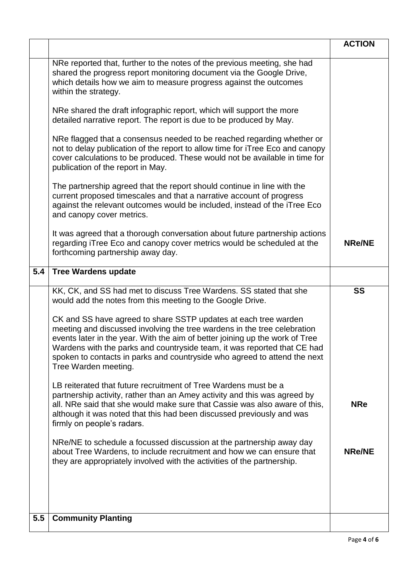|     |                                                                                                                                                                                                                                                                                                                                                                                                              | <b>ACTION</b> |
|-----|--------------------------------------------------------------------------------------------------------------------------------------------------------------------------------------------------------------------------------------------------------------------------------------------------------------------------------------------------------------------------------------------------------------|---------------|
|     | NRe reported that, further to the notes of the previous meeting, she had<br>shared the progress report monitoring document via the Google Drive,<br>which details how we aim to measure progress against the outcomes<br>within the strategy.                                                                                                                                                                |               |
|     | NRe shared the draft infographic report, which will support the more<br>detailed narrative report. The report is due to be produced by May.                                                                                                                                                                                                                                                                  |               |
|     | NRe flagged that a consensus needed to be reached regarding whether or<br>not to delay publication of the report to allow time for iTree Eco and canopy<br>cover calculations to be produced. These would not be available in time for<br>publication of the report in May.                                                                                                                                  |               |
|     | The partnership agreed that the report should continue in line with the<br>current proposed timescales and that a narrative account of progress<br>against the relevant outcomes would be included, instead of the iTree Eco<br>and canopy cover metrics.                                                                                                                                                    |               |
|     | It was agreed that a thorough conversation about future partnership actions<br>regarding iTree Eco and canopy cover metrics would be scheduled at the<br>forthcoming partnership away day.                                                                                                                                                                                                                   | <b>NRe/NE</b> |
| 5.4 | <b>Tree Wardens update</b>                                                                                                                                                                                                                                                                                                                                                                                   |               |
|     | KK, CK, and SS had met to discuss Tree Wardens. SS stated that she<br>would add the notes from this meeting to the Google Drive.                                                                                                                                                                                                                                                                             | <b>SS</b>     |
|     | CK and SS have agreed to share SSTP updates at each tree warden<br>meeting and discussed involving the tree wardens in the tree celebration<br>events later in the year. With the aim of better joining up the work of Tree<br>Wardens with the parks and countryside team, it was reported that CE had<br>spoken to contacts in parks and countryside who agreed to attend the next<br>Tree Warden meeting. |               |
|     | LB reiterated that future recruitment of Tree Wardens must be a<br>partnership activity, rather than an Amey activity and this was agreed by<br>all. NRe said that she would make sure that Cassie was also aware of this.<br>although it was noted that this had been discussed previously and was<br>firmly on people's radars.                                                                            | <b>NRe</b>    |
|     | NRe/NE to schedule a focussed discussion at the partnership away day<br>about Tree Wardens, to include recruitment and how we can ensure that<br>they are appropriately involved with the activities of the partnership.                                                                                                                                                                                     | <b>NRe/NE</b> |
|     |                                                                                                                                                                                                                                                                                                                                                                                                              |               |
| 5.5 | <b>Community Planting</b>                                                                                                                                                                                                                                                                                                                                                                                    |               |
|     |                                                                                                                                                                                                                                                                                                                                                                                                              |               |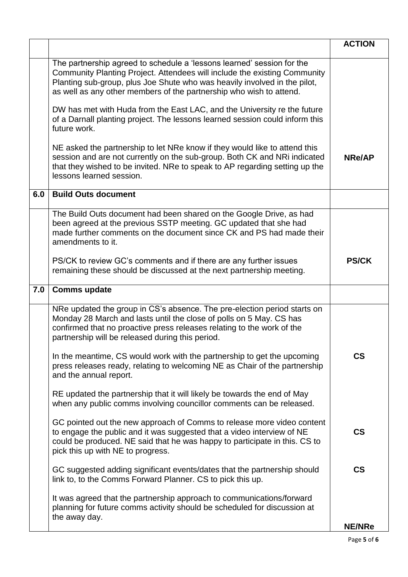|     |                                                                                                                                                                                                                                                                                                         | <b>ACTION</b>            |
|-----|---------------------------------------------------------------------------------------------------------------------------------------------------------------------------------------------------------------------------------------------------------------------------------------------------------|--------------------------|
|     | The partnership agreed to schedule a 'lessons learned' session for the<br>Community Planting Project. Attendees will include the existing Community<br>Planting sub-group, plus Joe Shute who was heavily involved in the pilot,<br>as well as any other members of the partnership who wish to attend. |                          |
|     | DW has met with Huda from the East LAC, and the University re the future<br>of a Darnall planting project. The lessons learned session could inform this<br>future work.                                                                                                                                |                          |
|     | NE asked the partnership to let NRe know if they would like to attend this<br>session and are not currently on the sub-group. Both CK and NRi indicated<br>that they wished to be invited. NRe to speak to AP regarding setting up the<br>lessons learned session.                                      | <b>NRe/AP</b>            |
| 6.0 | <b>Build Outs document</b>                                                                                                                                                                                                                                                                              |                          |
|     | The Build Outs document had been shared on the Google Drive, as had<br>been agreed at the previous SSTP meeting. GC updated that she had<br>made further comments on the document since CK and PS had made their<br>amendments to it.                                                                   |                          |
|     | PS/CK to review GC's comments and if there are any further issues<br>remaining these should be discussed at the next partnership meeting.                                                                                                                                                               | <b>PS/CK</b>             |
| 7.0 | <b>Comms update</b>                                                                                                                                                                                                                                                                                     |                          |
|     | NRe updated the group in CS's absence. The pre-election period starts on<br>Monday 28 March and lasts until the close of polls on 5 May. CS has<br>confirmed that no proactive press releases relating to the work of the<br>partnership will be released during this period.                           |                          |
|     |                                                                                                                                                                                                                                                                                                         |                          |
|     | In the meantime, CS would work with the partnership to get the upcoming<br>press releases ready, relating to welcoming NE as Chair of the partnership<br>and the annual report.                                                                                                                         | $\mathsf{CS}\phantom{0}$ |
|     | RE updated the partnership that it will likely be towards the end of May<br>when any public comms involving councillor comments can be released.                                                                                                                                                        |                          |
|     | GC pointed out the new approach of Comms to release more video content<br>to engage the public and it was suggested that a video interview of NE<br>could be produced. NE said that he was happy to participate in this. CS to<br>pick this up with NE to progress.                                     | $\mathsf{CS}\phantom{0}$ |
|     | GC suggested adding significant events/dates that the partnership should<br>link to, to the Comms Forward Planner. CS to pick this up.                                                                                                                                                                  | $\mathsf{CS}\phantom{0}$ |
|     | It was agreed that the partnership approach to communications/forward<br>planning for future comms activity should be scheduled for discussion at<br>the away day.                                                                                                                                      |                          |